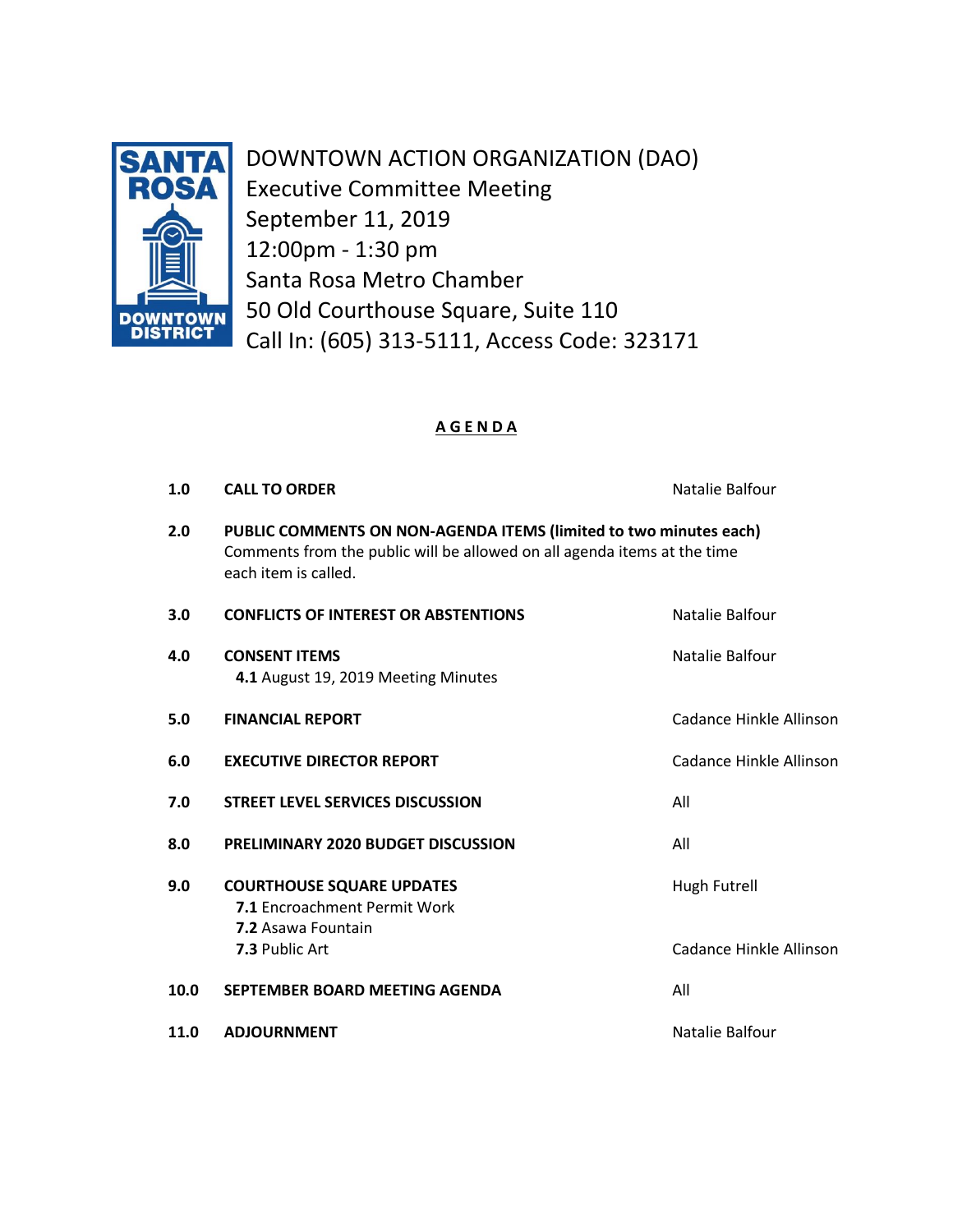

DOWNTOWN ACTION ORGANIZATION (DAO) Executive Committee Meeting September 11, 2019 12:00pm - 1:30 pm Santa Rosa Metro Chamber 50 Old Courthouse Square, Suite 110 Call In: (605) 313-5111, Access Code: 323171

# **A G E N D A**

| 1.0  | <b>CALL TO ORDER</b>                                                                                                                                                  | Natalie Balfour         |
|------|-----------------------------------------------------------------------------------------------------------------------------------------------------------------------|-------------------------|
| 2.0  | PUBLIC COMMENTS ON NON-AGENDA ITEMS (limited to two minutes each)<br>Comments from the public will be allowed on all agenda items at the time<br>each item is called. |                         |
| 3.0  | <b>CONFLICTS OF INTEREST OR ABSTENTIONS</b>                                                                                                                           | Natalie Balfour         |
| 4.0  | <b>CONSENT ITEMS</b><br>4.1 August 19, 2019 Meeting Minutes                                                                                                           | Natalie Balfour         |
| 5.0  | <b>FINANCIAL REPORT</b>                                                                                                                                               | Cadance Hinkle Allinson |
| 6.0  | <b>EXECUTIVE DIRECTOR REPORT</b>                                                                                                                                      | Cadance Hinkle Allinson |
| 7.0  | <b>STREET LEVEL SERVICES DISCUSSION</b>                                                                                                                               | All                     |
| 8.0  | <b>PRELIMINARY 2020 BUDGET DISCUSSION</b>                                                                                                                             | All                     |
| 9.0  | <b>COURTHOUSE SQUARE UPDATES</b><br>7.1 Encroachment Permit Work<br>7.2 Asawa Fountain                                                                                | <b>Hugh Futrell</b>     |
|      | 7.3 Public Art                                                                                                                                                        | Cadance Hinkle Allinson |
| 10.0 | SEPTEMBER BOARD MEETING AGENDA                                                                                                                                        | All                     |
| 11.0 | <b>ADJOURNMENT</b>                                                                                                                                                    | Natalie Balfour         |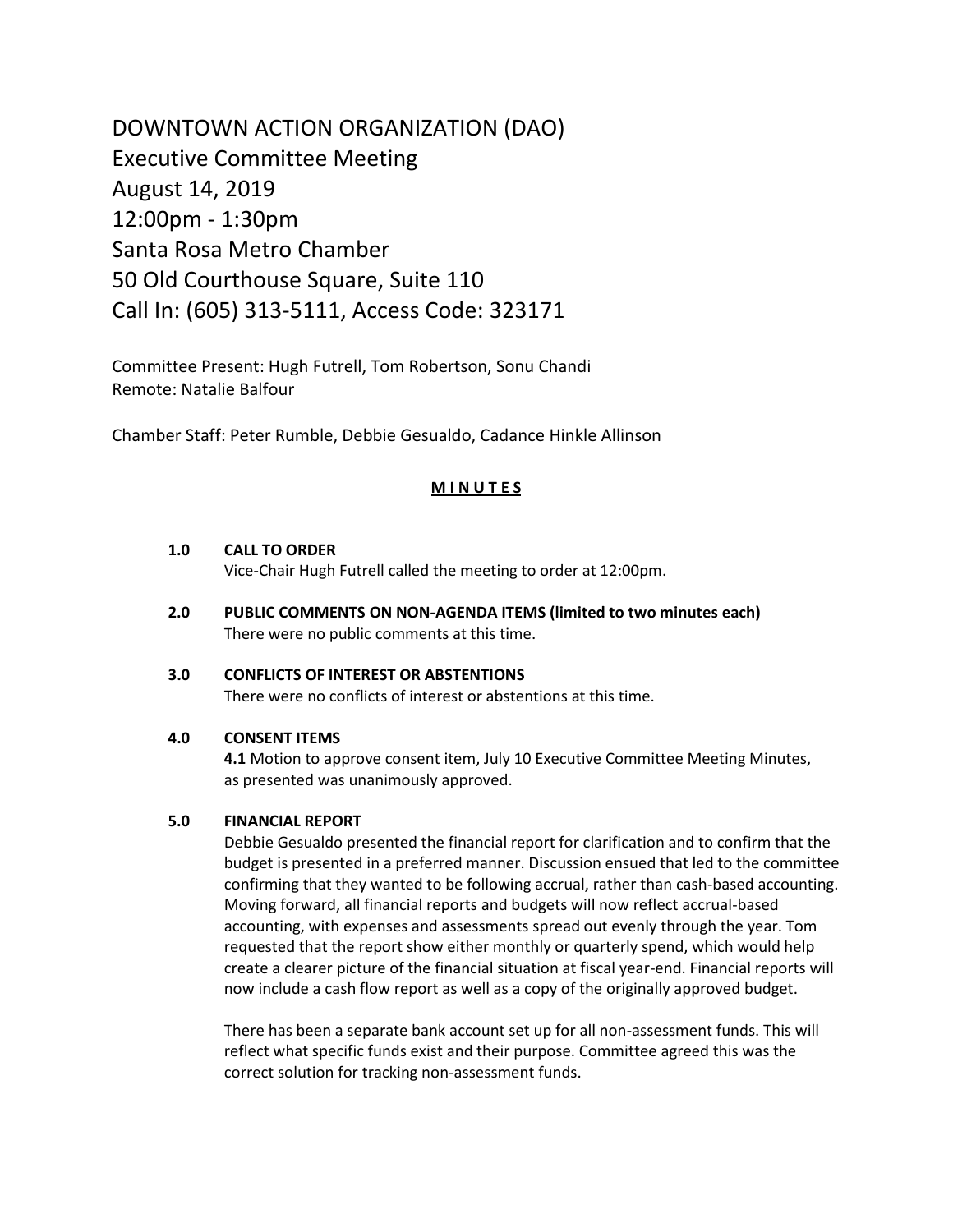DOWNTOWN ACTION ORGANIZATION (DAO) Executive Committee Meeting August 14, 2019 12:00pm - 1:30pm Santa Rosa Metro Chamber 50 Old Courthouse Square, Suite 110 Call In: (605) 313-5111, Access Code: 323171

Committee Present: Hugh Futrell, Tom Robertson, Sonu Chandi Remote: Natalie Balfour

Chamber Staff: Peter Rumble, Debbie Gesualdo, Cadance Hinkle Allinson

## **M I N U T E S**

#### **1.0 CALL TO ORDER**

Vice-Chair Hugh Futrell called the meeting to order at 12:00pm.

**2.0 PUBLIC COMMENTS ON NON-AGENDA ITEMS (limited to two minutes each)** There were no public comments at this time.

### **3.0 CONFLICTS OF INTEREST OR ABSTENTIONS**

There were no conflicts of interest or abstentions at this time.

### **4.0 CONSENT ITEMS**

 **4.1** Motion to approve consent item, July 10 Executive Committee Meeting Minutes, as presented was unanimously approved.

#### **5.0 FINANCIAL REPORT**

Debbie Gesualdo presented the financial report for clarification and to confirm that the budget is presented in a preferred manner. Discussion ensued that led to the committee confirming that they wanted to be following accrual, rather than cash-based accounting. Moving forward, all financial reports and budgets will now reflect accrual-based accounting, with expenses and assessments spread out evenly through the year. Tom requested that the report show either monthly or quarterly spend, which would help create a clearer picture of the financial situation at fiscal year-end. Financial reports will now include a cash flow report as well as a copy of the originally approved budget.

There has been a separate bank account set up for all non-assessment funds. This will reflect what specific funds exist and their purpose. Committee agreed this was the correct solution for tracking non-assessment funds.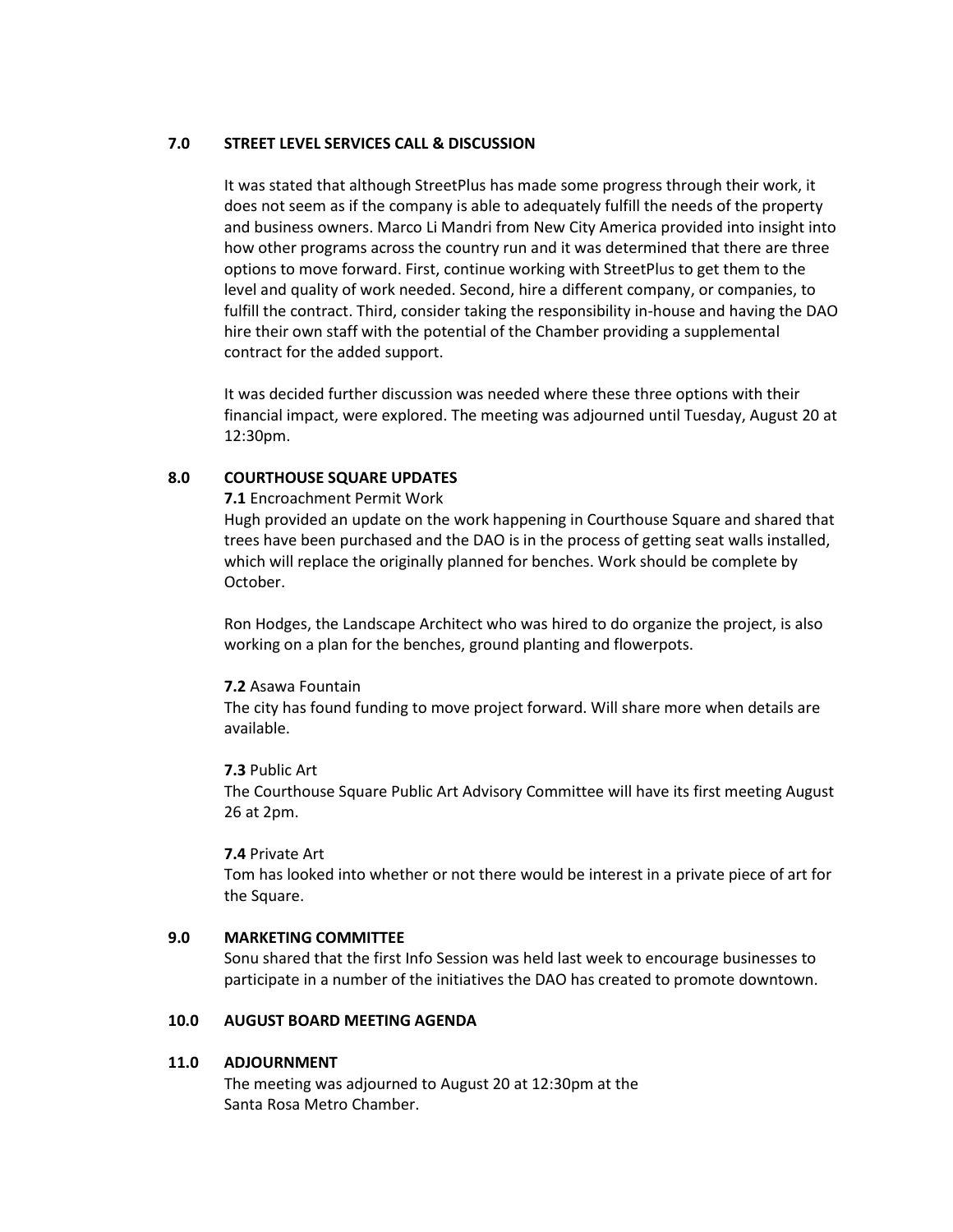### **7.0 STREET LEVEL SERVICES CALL & DISCUSSION**

It was stated that although StreetPlus has made some progress through their work, it does not seem as if the company is able to adequately fulfill the needs of the property and business owners. Marco Li Mandri from New City America provided into insight into how other programs across the country run and it was determined that there are three options to move forward. First, continue working with StreetPlus to get them to the level and quality of work needed. Second, hire a different company, or companies, to fulfill the contract. Third, consider taking the responsibility in-house and having the DAO hire their own staff with the potential of the Chamber providing a supplemental contract for the added support.

It was decided further discussion was needed where these three options with their financial impact, were explored. The meeting was adjourned until Tuesday, August 20 at 12:30pm.

### **8.0 COURTHOUSE SQUARE UPDATES**

#### **7.1** Encroachment Permit Work

Hugh provided an update on the work happening in Courthouse Square and shared that trees have been purchased and the DAO is in the process of getting seat walls installed, which will replace the originally planned for benches. Work should be complete by October.

Ron Hodges, the Landscape Architect who was hired to do organize the project, is also working on a plan for the benches, ground planting and flowerpots.

### **7.2** Asawa Fountain

The city has found funding to move project forward. Will share more when details are available.

### **7.3** Public Art

The Courthouse Square Public Art Advisory Committee will have its first meeting August 26 at 2pm.

#### **7.4** Private Art

Tom has looked into whether or not there would be interest in a private piece of art for the Square.

### **9.0 MARKETING COMMITTEE**

Sonu shared that the first Info Session was held last week to encourage businesses to participate in a number of the initiatives the DAO has created to promote downtown.

## **10.0 AUGUST BOARD MEETING AGENDA**

### **11.0 ADJOURNMENT**

The meeting was adjourned to August 20 at 12:30pm at the Santa Rosa Metro Chamber.